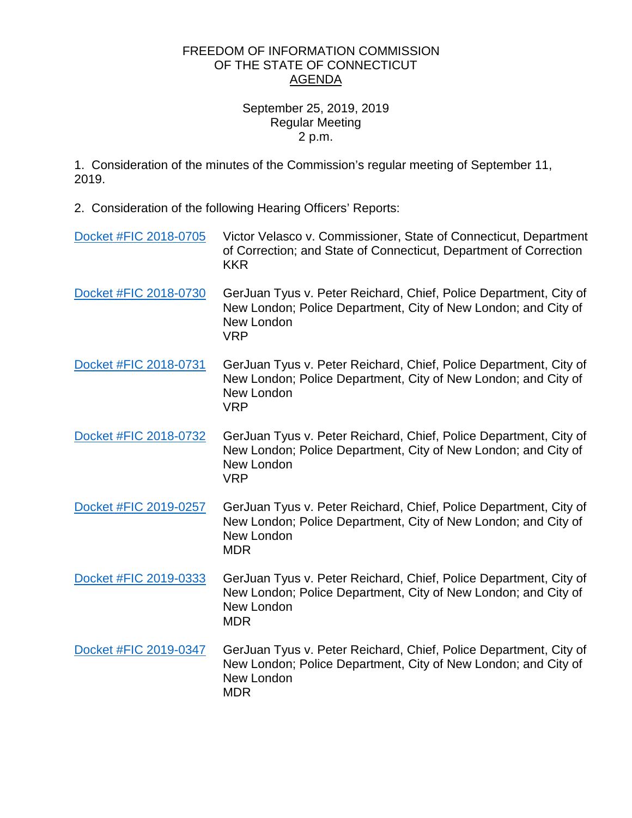## FREEDOM OF INFORMATION COMMISSION OF THE STATE OF CONNECTICUT AGENDA

## September 25, 2019, 2019 Regular Meeting 2 p.m.

1. Consideration of the minutes of the Commission's regular meeting of September 11, 2019.

2. Consideration of the following Hearing Officers' Reports:

| Docket #FIC 2018-0705 | Victor Velasco v. Commissioner, State of Connecticut, Department<br>of Correction; and State of Connecticut, Department of Correction<br><b>KKR</b>             |
|-----------------------|-----------------------------------------------------------------------------------------------------------------------------------------------------------------|
| Docket #FIC 2018-0730 | GerJuan Tyus v. Peter Reichard, Chief, Police Department, City of<br>New London; Police Department, City of New London; and City of<br>New London<br><b>VRP</b> |
| Docket #FIC 2018-0731 | GerJuan Tyus v. Peter Reichard, Chief, Police Department, City of<br>New London; Police Department, City of New London; and City of<br>New London<br><b>VRP</b> |
| Docket #FIC 2018-0732 | GerJuan Tyus v. Peter Reichard, Chief, Police Department, City of<br>New London; Police Department, City of New London; and City of<br>New London<br><b>VRP</b> |
| Docket #FIC 2019-0257 | GerJuan Tyus v. Peter Reichard, Chief, Police Department, City of<br>New London; Police Department, City of New London; and City of<br>New London<br><b>MDR</b> |
| Docket #FIC 2019-0333 | GerJuan Tyus v. Peter Reichard, Chief, Police Department, City of<br>New London; Police Department, City of New London; and City of<br>New London<br><b>MDR</b> |
| Docket #FIC 2019-0347 | GerJuan Tyus v. Peter Reichard, Chief, Police Department, City of<br>New London; Police Department, City of New London; and City of<br>New London<br><b>MDR</b> |